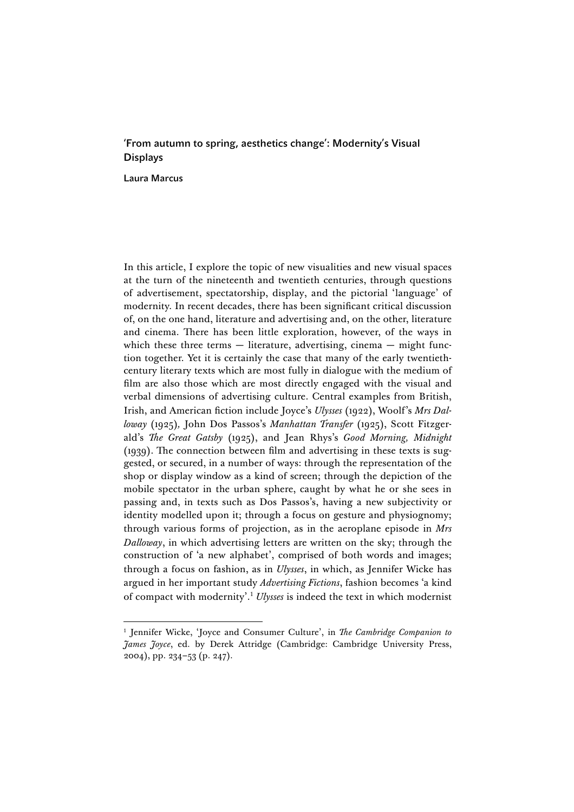## 'From autumn to spring, aesthetics change': Modernity's Visual Displays

Laura Marcus

 $\overline{a}$ 

In this article, I explore the topic of new visualities and new visual spaces at the turn of the nineteenth and twentieth centuries, through questions of advertisement, spectatorship, display, and the pictorial 'language' of modernity. In recent decades, there has been significant critical discussion of, on the one hand, literature and advertising and, on the other, literature and cinema. There has been little exploration, however, of the ways in which these three terms  $-$  literature, advertising, cinema  $-$  might function together. Yet it is certainly the case that many of the early twentiethcentury literary texts which are most fully in dialogue with the medium of film are also those which are most directly engaged with the visual and verbal dimensions of advertising culture. Central examples from British, Irish, and American fiction include Joyce's *Ulysses* (1922), Woolf's *Mrs Dalloway* (1925)*,* John Dos Passos's *Manhattan Transfer* (1925), Scott Fitzgerald's *The Great Gatsby* (1925), and Jean Rhys's *Good Morning, Midnight* (1939). The connection between film and advertising in these texts is suggested, or secured, in a number of ways: through the representation of the shop or display window as a kind of screen; through the depiction of the mobile spectator in the urban sphere, caught by what he or she sees in passing and, in texts such as Dos Passos's, having a new subjectivity or identity modelled upon it; through a focus on gesture and physiognomy; through various forms of projection, as in the aeroplane episode in *Mrs Dalloway*, in which advertising letters are written on the sky; through the construction of 'a new alphabet', comprised of both words and images; through a focus on fashion, as in *Ulysses*, in which, as Jennifer Wicke has argued in her important study *Advertising Fictions*, fashion becomes 'a kind of compact with modernity'. <sup>1</sup> *Ulysses* is indeed the text in which modernist

<sup>1</sup> Jennifer Wicke, 'Joyce and Consumer Culture', in *The Cambridge Companion to James Joyce*, ed. by Derek Attridge (Cambridge: Cambridge University Press, 2004), pp. 234–53 (p. 247).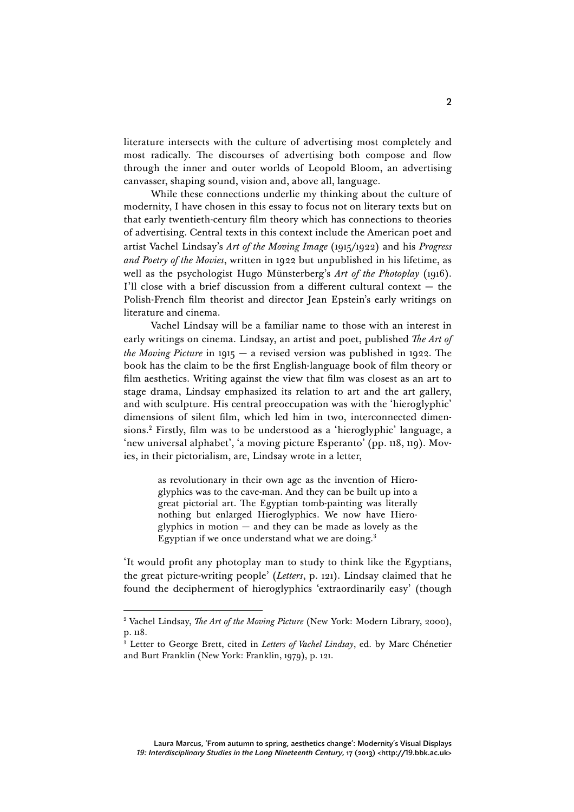literature intersects with the culture of advertising most completely and most radically. The discourses of advertising both compose and flow through the inner and outer worlds of Leopold Bloom, an advertising canvasser, shaping sound, vision and, above all, language.

While these connections underlie my thinking about the culture of modernity, I have chosen in this essay to focus not on literary texts but on that early twentieth-century film theory which has connections to theories of advertising. Central texts in this context include the American poet and artist Vachel Lindsay's *Art of the Moving Image* (1915/1922) and his *Progress and Poetry of the Movies*, written in 1922 but unpublished in his lifetime, as well as the psychologist Hugo Münsterberg's *Art of the Photoplay* (1916). I'll close with a brief discussion from a different cultural context — the Polish-French film theorist and director Jean Epstein's early writings on literature and cinema.

Vachel Lindsay will be a familiar name to those with an interest in early writings on cinema. Lindsay, an artist and poet, published *The Art of the Moving Picture* in 1915 — a revised version was published in 1922. The book has the claim to be the first English-language book of film theory or film aesthetics. Writing against the view that film was closest as an art to stage drama, Lindsay emphasized its relation to art and the art gallery, and with sculpture. His central preoccupation was with the 'hieroglyphic' dimensions of silent film, which led him in two, interconnected dimensions.2 Firstly, film was to be understood as a 'hieroglyphic' language, a 'new universal alphabet', 'a moving picture Esperanto' (pp. 118, 119). Movies, in their pictorialism, are, Lindsay wrote in a letter,

> as revolutionary in their own age as the invention of Hieroglyphics was to the cave-man. And they can be built up into a great pictorial art. The Egyptian tomb-painting was literally nothing but enlarged Hieroglyphics. We now have Hieroglyphics in motion  $-$  and they can be made as lovely as the Egyptian if we once understand what we are doing. $3$

'It would profit any photoplay man to study to think like the Egyptians, the great picture-writing people' (*Letters*, p. 121). Lindsay claimed that he found the decipherment of hieroglyphics 'extraordinarily easy' (though

 $\overline{a}$ 

2

<sup>2</sup> Vachel Lindsay, *The Art of the Moving Picture* (New York: Modern Library, 2000), p. 118.

<sup>3</sup> Letter to George Brett, cited in *Letters of Vachel Lindsay*, ed. by Marc Chénetier and Burt Franklin (New York: Franklin, 1979), p. 121.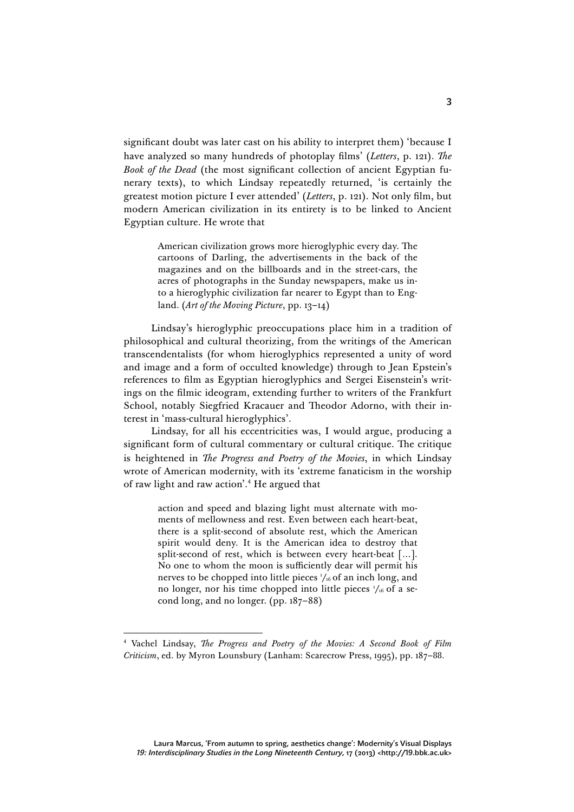significant doubt was later cast on his ability to interpret them) 'because I have analyzed so many hundreds of photoplay films' (*Letters*, p. 121). *The Book of the Dead* (the most significant collection of ancient Egyptian funerary texts), to which Lindsay repeatedly returned, 'is certainly the greatest motion picture I ever attended' (*Letters*, p. 121). Not only film, but modern American civilization in its entirety is to be linked to Ancient Egyptian culture. He wrote that

> American civilization grows more hieroglyphic every day. The cartoons of Darling, the advertisements in the back of the magazines and on the billboards and in the street-cars, the acres of photographs in the Sunday newspapers, make us into a hieroglyphic civilization far nearer to Egypt than to England. (*Art of the Moving Picture*, pp. 13–14)

Lindsay's hieroglyphic preoccupations place him in a tradition of philosophical and cultural theorizing, from the writings of the American transcendentalists (for whom hieroglyphics represented a unity of word and image and a form of occulted knowledge) through to Jean Epstein's references to film as Egyptian hieroglyphics and Sergei Eisenstein's writings on the filmic ideogram, extending further to writers of the Frankfurt School, notably Siegfried Kracauer and Theodor Adorno, with their interest in 'mass-cultural hieroglyphics'.

Lindsay, for all his eccentricities was, I would argue, producing a significant form of cultural commentary or cultural critique. The critique is heightened in *The Progress and Poetry of the Movies*, in which Lindsay wrote of American modernity, with its 'extreme fanaticism in the worship of raw light and raw action'. <sup>4</sup> He argued that

> action and speed and blazing light must alternate with moments of mellowness and rest. Even between each heart-beat, there is a split-second of absolute rest, which the American spirit would deny. It is the American idea to destroy that split-second of rest, which is between every heart-beat […]. No one to whom the moon is sufficiently dear will permit his nerves to be chopped into little pieces  $\frac{1}{16}$  of an inch long, and no longer, nor his time chopped into little pieces  $1/16$  of a second long, and no longer. (pp. 187–88)

<sup>4</sup> Vachel Lindsay, *The Progress and Poetry of the Movies: A Second Book of Film Criticism*, ed. by Myron Lounsbury (Lanham: Scarecrow Press, 1995), pp. 187–88.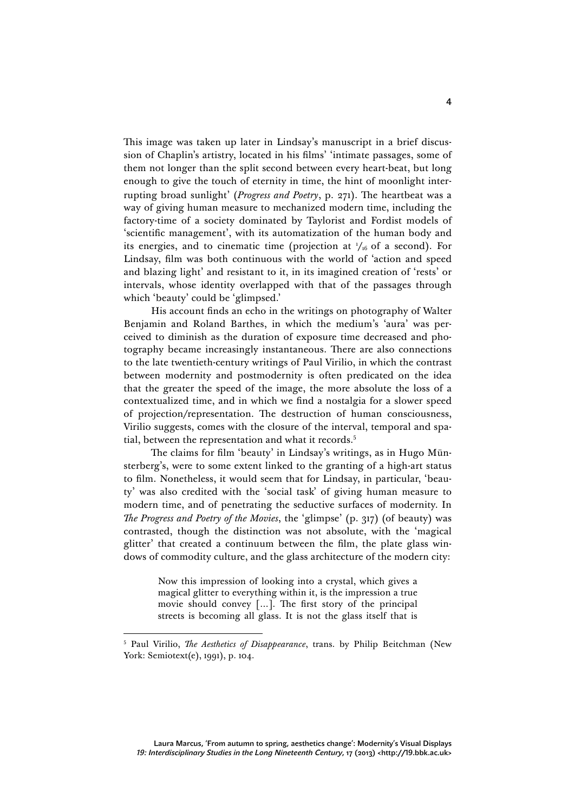This image was taken up later in Lindsay's manuscript in a brief discussion of Chaplin's artistry, located in his films' 'intimate passages, some of them not longer than the split second between every heart-beat, but long enough to give the touch of eternity in time, the hint of moonlight interrupting broad sunlight' (*Progress and Poetry*, p. 271). The heartbeat was a way of giving human measure to mechanized modern time, including the factory-time of a society dominated by Taylorist and Fordist models of 'scientific management', with its automatization of the human body and its energies, and to cinematic time (projection at  $1/16$  of a second). For Lindsay, film was both continuous with the world of 'action and speed and blazing light' and resistant to it, in its imagined creation of 'rests' or intervals, whose identity overlapped with that of the passages through which 'beauty' could be 'glimpsed.'

His account finds an echo in the writings on photography of Walter Benjamin and Roland Barthes, in which the medium's 'aura' was perceived to diminish as the duration of exposure time decreased and photography became increasingly instantaneous. There are also connections to the late twentieth-century writings of Paul Virilio, in which the contrast between modernity and postmodernity is often predicated on the idea that the greater the speed of the image, the more absolute the loss of a contextualized time, and in which we find a nostalgia for a slower speed of projection/representation. The destruction of human consciousness, Virilio suggests, comes with the closure of the interval, temporal and spatial, between the representation and what it records.<sup>5</sup>

The claims for film 'beauty' in Lindsay's writings, as in Hugo Münsterberg's, were to some extent linked to the granting of a high-art status to film. Nonetheless, it would seem that for Lindsay, in particular, 'beauty' was also credited with the 'social task' of giving human measure to modern time, and of penetrating the seductive surfaces of modernity. In *The Progress and Poetry of the Movies*, the 'glimpse' (p. 317) (of beauty) was contrasted, though the distinction was not absolute, with the 'magical glitter' that created a continuum between the film, the plate glass windows of commodity culture, and the glass architecture of the modern city:

> Now this impression of looking into a crystal, which gives a magical glitter to everything within it, is the impression a true movie should convey […]. The first story of the principal streets is becoming all glass. It is not the glass itself that is

<sup>5</sup> Paul Virilio, *The Aesthetics of Disappearance*, trans. by Philip Beitchman (New York: Semiotext(e), 1991), p. 104.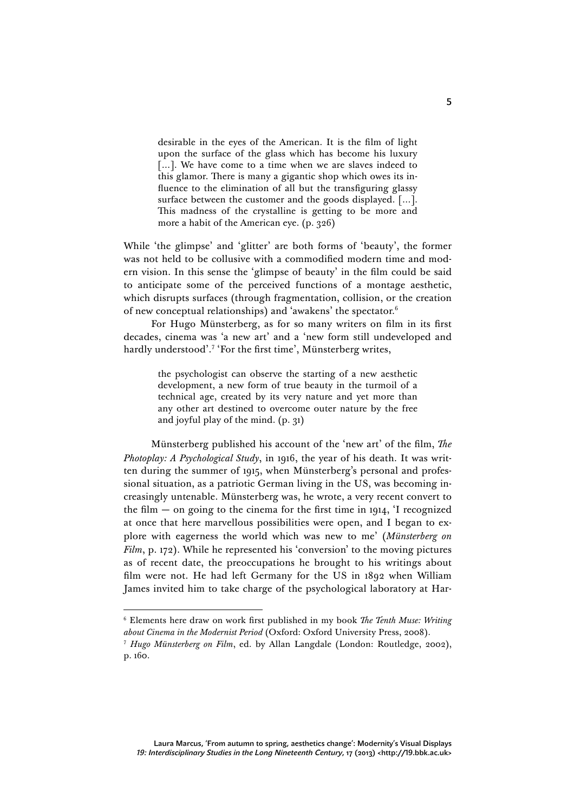desirable in the eyes of the American. It is the film of light upon the surface of the glass which has become his luxury [...]. We have come to a time when we are slaves indeed to this glamor. There is many a gigantic shop which owes its influence to the elimination of all but the transfiguring glassy surface between the customer and the goods displayed. […]. This madness of the crystalline is getting to be more and more a habit of the American eye. (p. 326)

While 'the glimpse' and 'glitter' are both forms of 'beauty', the former was not held to be collusive with a commodified modern time and modern vision. In this sense the 'glimpse of beauty' in the film could be said to anticipate some of the perceived functions of a montage aesthetic, which disrupts surfaces (through fragmentation, collision, or the creation of new conceptual relationships) and 'awakens' the spectator.6

For Hugo Münsterberg, as for so many writers on film in its first decades, cinema was 'a new art' and a 'new form still undeveloped and hardly understood'. <sup>7</sup> 'For the first time', Münsterberg writes,

> the psychologist can observe the starting of a new aesthetic development, a new form of true beauty in the turmoil of a technical age, created by its very nature and yet more than any other art destined to overcome outer nature by the free and joyful play of the mind. (p. 31)

Münsterberg published his account of the 'new art' of the film, *The Photoplay: A Psychological Study*, in 1916, the year of his death. It was written during the summer of 1915, when Münsterberg's personal and professional situation, as a patriotic German living in the US, was becoming increasingly untenable. Münsterberg was, he wrote, a very recent convert to the film  $-$  on going to the cinema for the first time in 1914,  $\dot{I}$  recognized at once that here marvellous possibilities were open, and I began to explore with eagerness the world which was new to me' (*Münsterberg on Film*, p. 172). While he represented his 'conversion' to the moving pictures as of recent date, the preoccupations he brought to his writings about film were not. He had left Germany for the US in 1892 when William James invited him to take charge of the psychological laboratory at Har-

<sup>6</sup> Elements here draw on work first published in my book *The Tenth Muse: Writing about Cinema in the Modernist Period* (Oxford: Oxford University Press, 2008).

<sup>7</sup> *Hugo Münsterberg on Film*, ed. by Allan Langdale (London: Routledge, 2002), p. 160.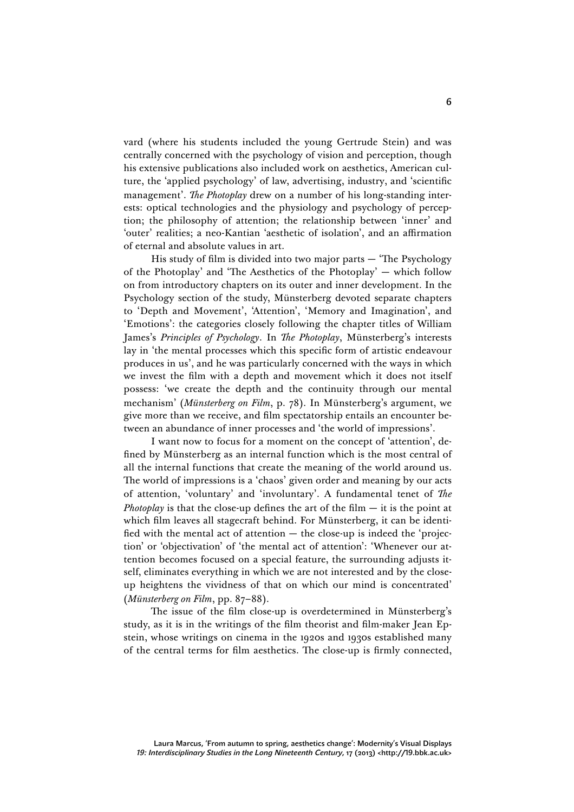vard (where his students included the young Gertrude Stein) and was centrally concerned with the psychology of vision and perception, though his extensive publications also included work on aesthetics, American culture, the 'applied psychology' of law, advertising, industry, and 'scientific management'. *The Photoplay* drew on a number of his long-standing interests: optical technologies and the physiology and psychology of perception; the philosophy of attention; the relationship between 'inner' and 'outer' realities; a neo-Kantian 'aesthetic of isolation', and an affirmation of eternal and absolute values in art.

His study of film is divided into two major parts — 'The Psychology of the Photoplay' and 'The Aesthetics of the Photoplay' — which follow on from introductory chapters on its outer and inner development. In the Psychology section of the study, Münsterberg devoted separate chapters to 'Depth and Movement', 'Attention', 'Memory and Imagination', and 'Emotions': the categories closely following the chapter titles of William James's *Principles of Psychology*. In *The Photoplay*, Münsterberg's interests lay in 'the mental processes which this specific form of artistic endeavour produces in us', and he was particularly concerned with the ways in which we invest the film with a depth and movement which it does not itself possess: 'we create the depth and the continuity through our mental mechanism' (*Münsterberg on Film*, p. 78). In Münsterberg's argument, we give more than we receive, and film spectatorship entails an encounter between an abundance of inner processes and 'the world of impressions'.

I want now to focus for a moment on the concept of 'attention', defined by Münsterberg as an internal function which is the most central of all the internal functions that create the meaning of the world around us. The world of impressions is a 'chaos' given order and meaning by our acts of attention, 'voluntary' and 'involuntary'. A fundamental tenet of *The Photoplay* is that the close-up defines the art of the film  $-$  it is the point at which film leaves all stagecraft behind. For Münsterberg, it can be identified with the mental act of attention — the close-up is indeed the 'projection' or 'objectivation' of 'the mental act of attention': 'Whenever our attention becomes focused on a special feature, the surrounding adjusts itself, eliminates everything in which we are not interested and by the closeup heightens the vividness of that on which our mind is concentrated' (*Münsterberg on Film*, pp. 87–88).

The issue of the film close-up is overdetermined in Münsterberg's study, as it is in the writings of the film theorist and film-maker Jean Epstein, whose writings on cinema in the 1920s and 1930s established many of the central terms for film aesthetics. The close-up is firmly connected,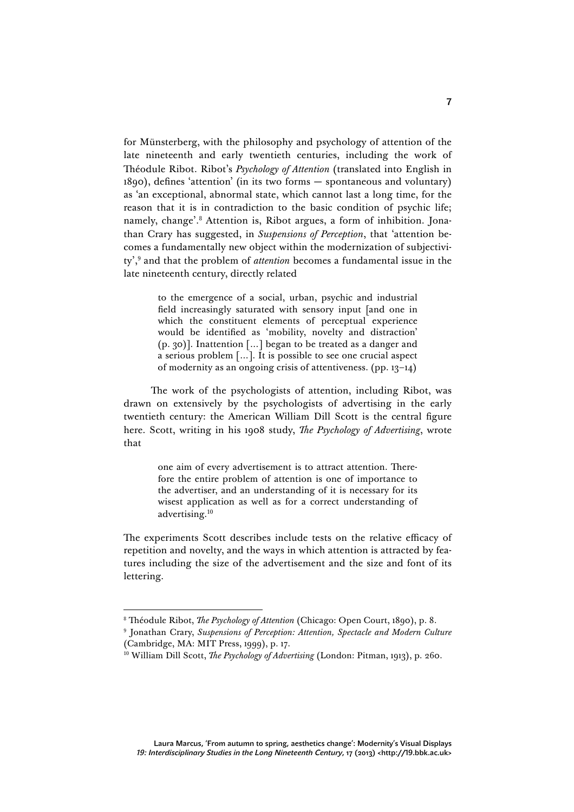for Münsterberg, with the philosophy and psychology of attention of the late nineteenth and early twentieth centuries, including the work of Théodule Ribot. Ribot's *Psychology of Attention* (translated into English in 1890), defines 'attention' (in its two forms — spontaneous and voluntary) as 'an exceptional, abnormal state, which cannot last a long time, for the reason that it is in contradiction to the basic condition of psychic life; namely, change'. <sup>8</sup> Attention is, Ribot argues, a form of inhibition. Jonathan Crary has suggested, in *Suspensions of Perception*, that 'attention becomes a fundamentally new object within the modernization of subjectivity', <sup>9</sup> and that the problem of *attention* becomes a fundamental issue in the late nineteenth century, directly related

> to the emergence of a social, urban, psychic and industrial field increasingly saturated with sensory input [and one in which the constituent elements of perceptual experience would be identified as 'mobility, novelty and distraction' (p. 30)]. Inattention […] began to be treated as a danger and a serious problem […]. It is possible to see one crucial aspect of modernity as an ongoing crisis of attentiveness. (pp. 13–14)

The work of the psychologists of attention, including Ribot, was drawn on extensively by the psychologists of advertising in the early twentieth century: the American William Dill Scott is the central figure here. Scott, writing in his 1908 study, *The Psychology of Advertising*, wrote that

> one aim of every advertisement is to attract attention. Therefore the entire problem of attention is one of importance to the advertiser, and an understanding of it is necessary for its wisest application as well as for a correct understanding of advertising.10

The experiments Scott describes include tests on the relative efficacy of repetition and novelty, and the ways in which attention is attracted by features including the size of the advertisement and the size and font of its lettering.

<sup>8</sup> Théodule Ribot, *The Psychology of Attention* (Chicago: Open Court, 1890), p. 8.

<sup>9</sup> Jonathan Crary, *Suspensions of Perception: Attention, Spectacle and Modern Culture* (Cambridge, MA: MIT Press, 1999), p. 17.

<sup>10</sup> William Dill Scott, *The Psychology of Advertising* (London: Pitman, 1913), p. 260.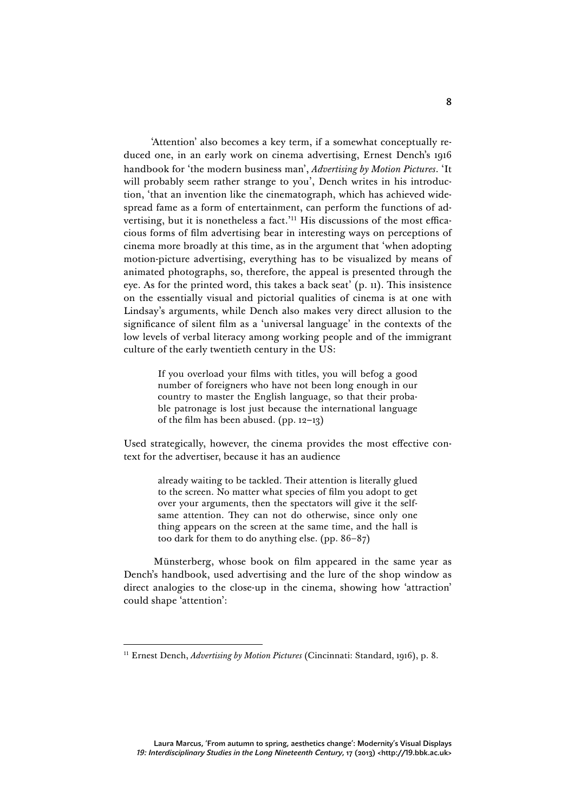'Attention' also becomes a key term, if a somewhat conceptually reduced one, in an early work on cinema advertising, Ernest Dench's 1916 handbook for 'the modern business man', *Advertising by Motion Pictures*. 'It will probably seem rather strange to you', Dench writes in his introduction, 'that an invention like the cinematograph, which has achieved widespread fame as a form of entertainment, can perform the functions of advertising, but it is nonetheless a fact.' <sup>11</sup> His discussions of the most efficacious forms of film advertising bear in interesting ways on perceptions of cinema more broadly at this time, as in the argument that 'when adopting motion-picture advertising, everything has to be visualized by means of animated photographs, so, therefore, the appeal is presented through the eye. As for the printed word, this takes a back seat' (p. 11). This insistence on the essentially visual and pictorial qualities of cinema is at one with Lindsay's arguments, while Dench also makes very direct allusion to the significance of silent film as a 'universal language' in the contexts of the low levels of verbal literacy among working people and of the immigrant culture of the early twentieth century in the US:

> If you overload your films with titles, you will befog a good number of foreigners who have not been long enough in our country to master the English language, so that their probable patronage is lost just because the international language of the film has been abused. (pp. 12–13)

Used strategically, however, the cinema provides the most effective context for the advertiser, because it has an audience

> already waiting to be tackled. Their attention is literally glued to the screen. No matter what species of film you adopt to get over your arguments, then the spectators will give it the selfsame attention. They can not do otherwise, since only one thing appears on the screen at the same time, and the hall is too dark for them to do anything else. (pp. 86–87)

Münsterberg, whose book on film appeared in the same year as Dench's handbook, used advertising and the lure of the shop window as direct analogies to the close-up in the cinema, showing how 'attraction' could shape 'attention':

<sup>11</sup> Ernest Dench, *Advertising by Motion Pictures* (Cincinnati: Standard, 1916), p. 8.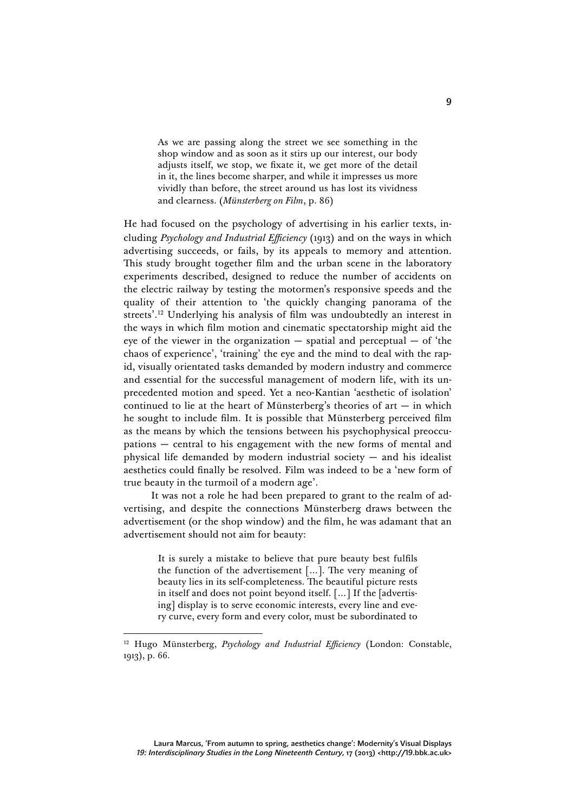As we are passing along the street we see something in the shop window and as soon as it stirs up our interest, our body adjusts itself, we stop, we fixate it, we get more of the detail in it, the lines become sharper, and while it impresses us more vividly than before, the street around us has lost its vividness and clearness. (*Münsterberg on Film*, p. 86)

He had focused on the psychology of advertising in his earlier texts, including *Psychology and Industrial Efficiency* (1913) and on the ways in which advertising succeeds, or fails, by its appeals to memory and attention. This study brought together film and the urban scene in the laboratory experiments described, designed to reduce the number of accidents on the electric railway by testing the motormen's responsive speeds and the quality of their attention to 'the quickly changing panorama of the streets'. <sup>12</sup> Underlying his analysis of film was undoubtedly an interest in the ways in which film motion and cinematic spectatorship might aid the eye of the viewer in the organization  $-$  spatial and perceptual  $-$  of 'the chaos of experience', 'training' the eye and the mind to deal with the rapid, visually orientated tasks demanded by modern industry and commerce and essential for the successful management of modern life, with its unprecedented motion and speed. Yet a neo-Kantian 'aesthetic of isolation' continued to lie at the heart of Münsterberg's theories of  $art - in$  which he sought to include film. It is possible that Münsterberg perceived film as the means by which the tensions between his psychophysical preoccupations — central to his engagement with the new forms of mental and physical life demanded by modern industrial society  $-$  and his idealist aesthetics could finally be resolved. Film was indeed to be a 'new form of true beauty in the turmoil of a modern age'.

It was not a role he had been prepared to grant to the realm of advertising, and despite the connections Münsterberg draws between the advertisement (or the shop window) and the film, he was adamant that an advertisement should not aim for beauty:

> It is surely a mistake to believe that pure beauty best fulfils the function of the advertisement […]. The very meaning of beauty lies in its self-completeness. The beautiful picture rests in itself and does not point beyond itself. […] If the [advertising] display is to serve economic interests, every line and every curve, every form and every color, must be subordinated to

<sup>12</sup> Hugo Münsterberg, *Psychology and Industrial Efficiency* (London: Constable, 1913), p. 66.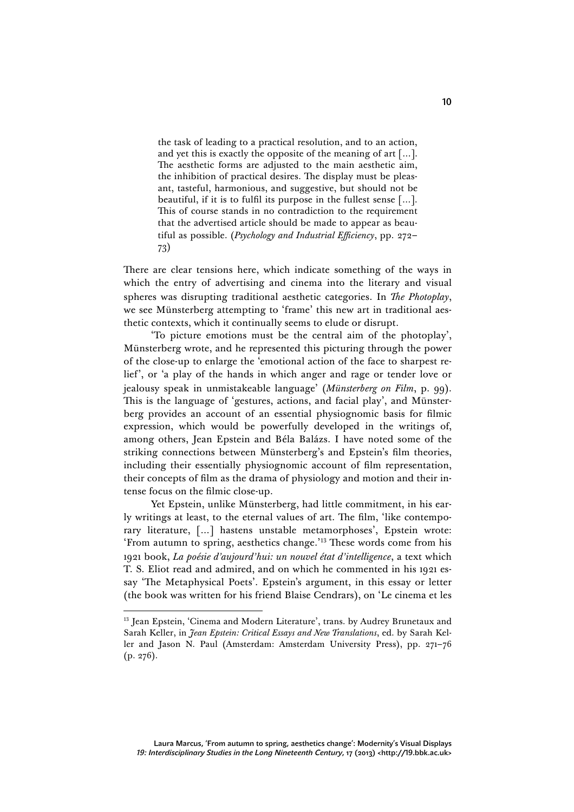the task of leading to a practical resolution, and to an action, and yet this is exactly the opposite of the meaning of art […]. The aesthetic forms are adjusted to the main aesthetic aim, the inhibition of practical desires. The display must be pleasant, tasteful, harmonious, and suggestive, but should not be beautiful, if it is to fulfil its purpose in the fullest sense […]. This of course stands in no contradiction to the requirement that the advertised article should be made to appear as beautiful as possible. (*Psychology and Industrial Efficiency*, pp. 272– 73)

There are clear tensions here, which indicate something of the ways in which the entry of advertising and cinema into the literary and visual spheres was disrupting traditional aesthetic categories. In *The Photoplay*, we see Münsterberg attempting to 'frame' this new art in traditional aesthetic contexts, which it continually seems to elude or disrupt.

'To picture emotions must be the central aim of the photoplay', Münsterberg wrote, and he represented this picturing through the power of the close-up to enlarge the 'emotional action of the face to sharpest relief', or 'a play of the hands in which anger and rage or tender love or jealousy speak in unmistakeable language' (*Münsterberg on Film*, p. 99). This is the language of 'gestures, actions, and facial play', and Münsterberg provides an account of an essential physiognomic basis for filmic expression, which would be powerfully developed in the writings of, among others, Jean Epstein and Béla Balázs. I have noted some of the striking connections between Münsterberg's and Epstein's film theories, including their essentially physiognomic account of film representation, their concepts of film as the drama of physiology and motion and their intense focus on the filmic close-up.

Yet Epstein, unlike Münsterberg, had little commitment, in his early writings at least, to the eternal values of art. The film, 'like contemporary literature, […] hastens unstable metamorphoses', Epstein wrote: 'From autumn to spring, aesthetics change.' <sup>13</sup> These words come from his 1921 book, *La poésie d'aujourd'hui: un nouvel état d'intelligence*, a text which T. S. Eliot read and admired, and on which he commented in his 1921 essay 'The Metaphysical Poets'. Epstein's argument, in this essay or letter (the book was written for his friend Blaise Cendrars), on 'Le cinema et les

<sup>&</sup>lt;sup>13</sup> Jean Epstein, 'Cinema and Modern Literature', trans. by Audrey Brunetaux and Sarah Keller, in *Jean Epstein: Critical Essays and New Translations*, ed. by Sarah Keller and Jason N. Paul (Amsterdam: Amsterdam University Press), pp. 271–76 (p. 276).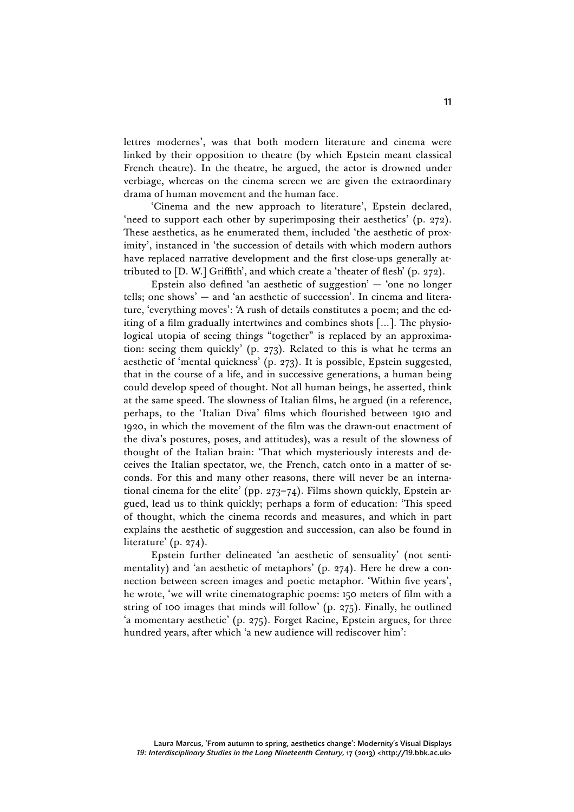lettres modernes', was that both modern literature and cinema were linked by their opposition to theatre (by which Epstein meant classical French theatre). In the theatre, he argued, the actor is drowned under verbiage, whereas on the cinema screen we are given the extraordinary drama of human movement and the human face.

'Cinema and the new approach to literature', Epstein declared, 'need to support each other by superimposing their aesthetics' (p. 272). These aesthetics, as he enumerated them, included 'the aesthetic of proximity', instanced in 'the succession of details with which modern authors have replaced narrative development and the first close-ups generally attributed to [D. W.] Griffith', and which create a 'theater of flesh' (p. 272).

Epstein also defined 'an aesthetic of suggestion'  $-$  'one no longer tells; one shows' — and 'an aesthetic of succession'. In cinema and literature, 'everything moves': 'A rush of details constitutes a poem; and the editing of a film gradually intertwines and combines shots […]. The physiological utopia of seeing things "together" is replaced by an approximation: seeing them quickly' (p. 273). Related to this is what he terms an aesthetic of 'mental quickness' (p. 273). It is possible, Epstein suggested, that in the course of a life, and in successive generations, a human being could develop speed of thought. Not all human beings, he asserted, think at the same speed. The slowness of Italian films, he argued (in a reference, perhaps, to the 'Italian Diva' films which flourished between 1910 and 1920, in which the movement of the film was the drawn-out enactment of the diva's postures, poses, and attitudes), was a result of the slowness of thought of the Italian brain: 'That which mysteriously interests and deceives the Italian spectator, we, the French, catch onto in a matter of seconds. For this and many other reasons, there will never be an international cinema for the elite' (pp. 273–74). Films shown quickly, Epstein argued, lead us to think quickly; perhaps a form of education: 'This speed of thought, which the cinema records and measures, and which in part explains the aesthetic of suggestion and succession, can also be found in literature' (p. 274).

Epstein further delineated 'an aesthetic of sensuality' (not sentimentality) and 'an aesthetic of metaphors' (p. 274). Here he drew a connection between screen images and poetic metaphor. 'Within five years', he wrote, 'we will write cinematographic poems: 150 meters of film with a string of 100 images that minds will follow' (p. 275). Finally, he outlined 'a momentary aesthetic' (p. 275). Forget Racine, Epstein argues, for three hundred years, after which 'a new audience will rediscover him':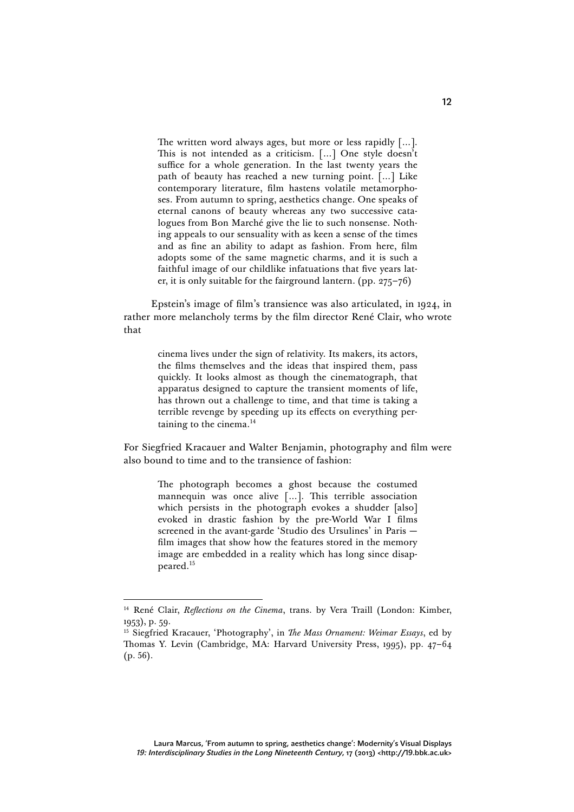The written word always ages, but more or less rapidly […]. This is not intended as a criticism. […] One style doesn't suffice for a whole generation. In the last twenty years the path of beauty has reached a new turning point. […] Like contemporary literature, film hastens volatile metamorphoses. From autumn to spring, aesthetics change. One speaks of eternal canons of beauty whereas any two successive catalogues from Bon Marché give the lie to such nonsense. Nothing appeals to our sensuality with as keen a sense of the times and as fine an ability to adapt as fashion. From here, film adopts some of the same magnetic charms, and it is such a faithful image of our childlike infatuations that five years later, it is only suitable for the fairground lantern. (pp. 275–76)

Epstein's image of film's transience was also articulated, in 1924, in rather more melancholy terms by the film director René Clair, who wrote that

> cinema lives under the sign of relativity. Its makers, its actors, the films themselves and the ideas that inspired them, pass quickly. It looks almost as though the cinematograph, that apparatus designed to capture the transient moments of life, has thrown out a challenge to time, and that time is taking a terrible revenge by speeding up its effects on everything pertaining to the cinema.<sup>14</sup>

For Siegfried Kracauer and Walter Benjamin, photography and film were also bound to time and to the transience of fashion:

> The photograph becomes a ghost because the costumed mannequin was once alive […]. This terrible association which persists in the photograph evokes a shudder [also] evoked in drastic fashion by the pre-World War I films screened in the avant-garde 'Studio des Ursulines' in Paris film images that show how the features stored in the memory image are embedded in a reality which has long since disappeared.<sup>15</sup>

<sup>&</sup>lt;sup>14</sup> René Clair, *Reflections on the Cinema*, trans. by Vera Traill (London: Kimber, 1953), p. 59.

<sup>15</sup> Siegfried Kracauer, 'Photography', in *The Mass Ornament: Weimar Essays*, ed by Thomas Y. Levin (Cambridge, MA: Harvard University Press, 1995), pp. 47–64 (p. 56).